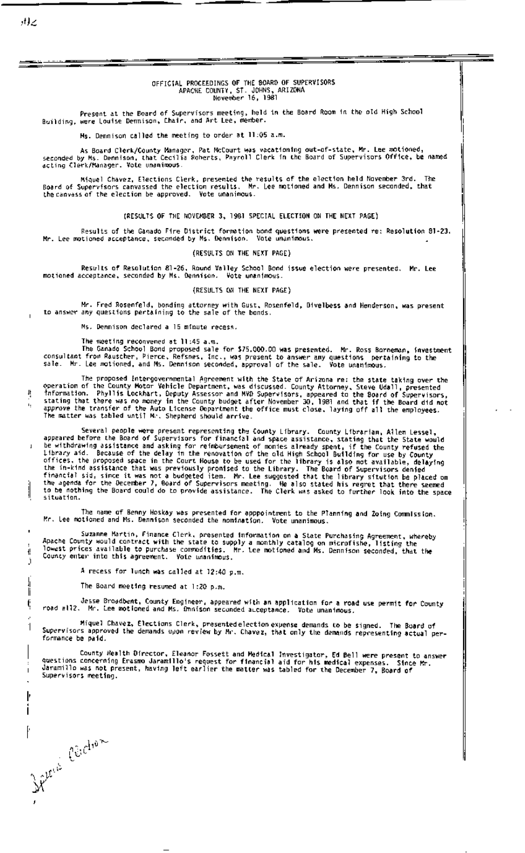## OFFICIAL PROCEEDINGS OF THE 80ARD OF SUPERVISORS<br>APACHE COUNTY, ST. JOHNS, ARIZONA<br>November 16, 1981

Present at the Board of Supervisors meeting, held in the Board Room in the old High School<br>Building, were Louise Dennison, Chair, and Art Lee, member.

Hs. Dennison called the meeting to order at 11:05 a.m.

As Board Clerk/County Manager, Pat McCourt was vacationing out-of-state, Mr. Lee motioned,<br>seconded by Ms. Dennison, that Cecilia Roberts, Payroll Clerk in the Board of Supervisors Office, be named acting Clerk/Manager. Vote unanimous.

Miquel Chavez, Elections Clerk, presented the results of the election held November 3rd. The<br>Board of Supervisors canvassed the election results. Mr. Lee motioned and Ms. Dennison seconded, that<br>the canvass of the election The

(RESULTS OF THE NOVENBER 3, 1981 SPECIAL ELECTION ON THE NEXT PAGE)

Results of the Ganado Fire District formation bond questions were presented re: Resolution 81-23.<br>Mr. Lee motioned acceptance, seconded by Ms. Dennison. Vote unanimous.

## (RESULTS ON THE NEXT PAGE)

Results of Resolution 81-26, Round Vailey School Bond issue election were presented. Mr. Lee motioned acceptance, seconded by Ms. Dennison. Vote unanimous.

## (RESULTS ON THE NEXT PAGE)

Mr. Fred Rosenfeld, bonding attorney with Gust, Rosenfeld, Divelbess and Henderson, was present<br>to answer any questions pertaining to the sale of the bonds.

Ms. Dennison declared a 15 minute recess.

The meeting reconvened at 11:45 a.m.

The Ganado School Bond proposed sale for \$75.000.00 was presented. Mr. Ross Borneman, investment<br>consultant from Rauscher, Pierce, Refsnes, Inc., was present to answer any questions pertaining to the<br>sale. Mr. Lee motioned

The proposed intergovernmental Agreement with the State of Arizona re: the state taking over the The proposed interpovermiental agreement with the State of Arizona re: the state taking over the<br>control of the County Motor Vehicle Department, was discussed. County Attorney, Steve Udall, presented<br>information. Phyllis L

Several people were present representing the County Library. County Librarian, Allen Lessel,<br>appeared before the Board of Supervisors for financial and space assistance, stating that the State would<br>be withdrawing assistan situation.

The name of Benny Hoskay was presented for apppointment to the Planning and Zoing Commission.<br>Mr. Lee motioned and Ms. Dennison seconded the nomination. Vote unanimous.

Suzanne Martin, Finance Clerk, presented information on a State Purchasing Agreement, whereby<br>Apache County would contract with the state to supply a monthly catalog on microfishe, listing the<br>lowest prices available to pu

A recess for lunch was called at 12:40 p.m.

The Board meeting resumed at 1:20 p.m.

Jesse Broadbent, County Engineer, appeared with an application for a road use permit for County<br>road will?. Mr. Lee motioned and Ms. Omnison seconded auceptance. Vote unanimous.

Miquel Chavez, Elections Clerk, presented election expense demands to be signed. The Board of<br>Supervisors approved the demands upon review by Mr. Chavez, that only the demands representing actual performance be paid.

County Health Director, Eleanor Fossett and Medical Investigator, Ed Bell were present to answer<br>questions concerning Erasmo Jaramillo's request for financial aid for his medical expenses. Since Mr.<br>Supervisers metions and Supervisors meeting.

ıŗ

j

li

¢

1

Jelen Circhien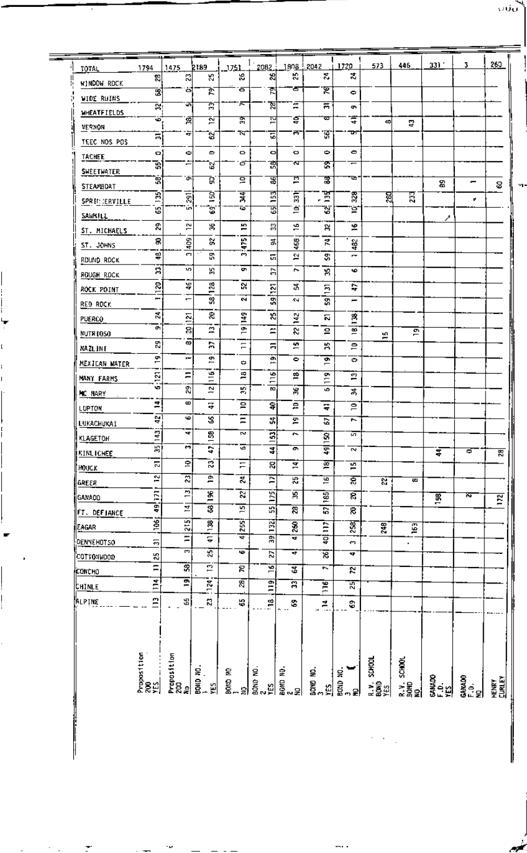| TOTAL                    | 1794                                     | 1475                     | <b>2189</b>          | 1751                    | 2082               | <u>1808 !</u>           | 2042                | 1720                          | 573                  | 446                                 | 331'                         | 3.                    | 260                    |
|--------------------------|------------------------------------------|--------------------------|----------------------|-------------------------|--------------------|-------------------------|---------------------|-------------------------------|----------------------|-------------------------------------|------------------------------|-----------------------|------------------------|
| WINDOW RDCK              | æ,                                       | 옚                        | K,                   | УŚ,                     | 25                 | К,                      | ¥.                  | 2                             |                      |                                     |                              |                       |                        |
| <b>WIDE RUINS</b>        | 3                                        | اة                       | 핝                    | δ                       | 폐                  | σ                       | ছ                   | $\bullet$                     |                      |                                     |                              |                       |                        |
| <b>MHEATFIELDS</b>       | Ā,                                       | ज                        | គ្ន                  | π                       | ম                  | Ξ                       | ਛ                   | ç,                            |                      |                                     |                              |                       |                        |
| VERNON                   | w.                                       | 寓                        | 잘                    | ङ्ग                     | 꾶                  | ់ខ្                     | च                   | ៊ុ                            | 쒸                    | ÷.                                  |                              |                       |                        |
| TEEC NOS POS             | $\overline{a}$                           | न                        | ď                    | ₩                       | Ξ                  | ਨਾ                      | দু                  | u,                            |                      |                                     |                              |                       |                        |
| <b>TACHEE</b>            | o,                                       | ٠                        | $\bullet$            | O                       | ۰                  | ۰                       | ۰                   | ۰                             |                      |                                     |                              |                       |                        |
| <b>SWEETWATER</b>        | Ŕ                                        | Ē                        | 5                    | σ                       | 폙                  | ਨਾ                      | ē,                  | ᆕ                             |                      |                                     |                              |                       |                        |
| STEAMBOAT                | ್ಲಿ                                      | .<br>ابن                 | Ġ                    | 요                       | ਛ                  | Ē                       | 冨                   | ъ                             |                      |                                     | 53                           | -                     | ន                      |
| SPR IT JERVILLE          | B                                        | $\frac{1}{2}$            | Eg!                  | दू                      | 153                | $\bar{\mathbf{a}}$      | . 꼼                 | 328                           | ଞ୍ଜା                 | 展                                   |                              | ۳.                    |                        |
| SAWKILL                  | 5                                        | ûn,                      | Ġ,                   | 75                      | 폐                  | ğ                       | ম্ভ                 | ġ                             |                      |                                     |                              |                       |                        |
| ST. MICHAELS             | Š,                                       | 21                       | 呂                    | 5                       | ಟ                  | 16                      | R                   | ٥                             |                      |                                     | ↗                            |                       |                        |
| ST. JOHNS                | 8                                        | gg                       | ×                    | Ę                       | 콝                  | 468                     | ä,                  | ¥                             |                      |                                     |                              |                       |                        |
|                          | ₽                                        | £,                       | 뚧                    | <b>M</b>                | G,                 | Z,                      | S,                  | $\overline{\phantom{a}}$      |                      |                                     |                              |                       |                        |
| rdund rock<br>ROUGH ROCK | ă,                                       | t,                       | 55                   | o,                      | ă                  | r.                      | ¥,                  | ٠                             |                      |                                     |                              |                       |                        |
|                          | ន                                        | ¥                        | 128                  | s.                      | Z.                 | な                       | E.                  | t,                            |                      |                                     |                              |                       |                        |
| ROCK POINT               | ⊏<br>-                                   | Ē                        | 3                    | N                       | c<br>۵Ś            | S.                      | S,                  | -                             |                      |                                     |                              |                       |                        |
| RED ROCK                 | 복                                        |                          | <b>g</b>             | $\frac{3}{4}$           | X)                 |                         | 2                   | 麘                             |                      |                                     |                              |                       |                        |
| PUERCO                   | G,                                       | $\overline{121}$<br>ន    | E,                   | ¢                       | Ë                  | 142<br>S.               | ₽                   | $\overline{\phantom{0}}$<br>≝ |                      | Ā                                   |                              |                       |                        |
| NUTR LOSO                | 53                                       | ø                        | F.                   | $=$                     | 등                  | 은                       | R,                  | Ξ                             | s.<br>-              |                                     |                              |                       |                        |
| <b>NAZLINT</b>           | ሮ                                        | -                        | ድ                    |                         | Ë                  | $\bullet$               | ç.                  | $\bullet$                     |                      |                                     |                              |                       |                        |
| MEXICAN WATER            | E,                                       | Ξ                        |                      | ٠<br>巴                  |                    | ₽                       | $\overline{ }$<br>ō |                               |                      |                                     |                              |                       |                        |
| MANY FARMS               | τ<br>G                                   | 묂                        | ٣İ<br>й              | 寫                       | $\frac{1}{2}$<br>æ |                         | Ē<br>e              | ግ                             |                      |                                     |                              |                       |                        |
| MC NARY                  |                                          | ¢                        |                      |                         |                    | 籌                       |                     | 볶                             |                      |                                     |                              |                       |                        |
| LUPTON                   | ÷.                                       | Ф                        | ÷                    | ≘                       | 위                  | 요                       | Φ                   | $\mathsf{P}$                  |                      |                                     |                              |                       |                        |
| LUKACHUKAI               | ę.                                       | 4                        | S                    | Ξ<br>w                  | å,                 | ድ                       | r.                  | r.                            |                      |                                     |                              |                       |                        |
| KLAGETOH                 | $\frac{143}{ }$                          | m                        | $\frac{5}{2}$        | ᇰ                       | $\overline{3}$     | r,                      | $\overline{8}$      | 运                             |                      |                                     |                              |                       |                        |
| KINLICHEE                | 哥                                        |                          | ¢                    |                         | 4                  | e                       | ত্ন                 | τ¥,                           |                      |                                     | इ                            | σ                     | 贾                      |
| HOUCK                    | 5                                        | P                        | 73                   | Ξ                       | ន                  | 某                       | ছ                   | g                             |                      |                                     |                              |                       |                        |
| GREER                    | 12                                       | ন্ন                      | ē                    | $\overline{\mathbf{a}}$ | Ξ                  | 鹄                       | $\overline{5}$      | ह                             | ਕਾ                   | स्र                                 |                              |                       |                        |
| GANADO                   | Ē                                        | Ξ                        | 196                  | र                       | 125                | 冨                       | $\overline{185}$    | ह                             |                      |                                     | $\frac{98}{2}$               | ਨਾ                    | $\overline{z}$         |
| FT. DEFIANCE             | ă                                        | 혼                        | ड                    | $\overline{a}$          | $5\overline{5}$    | 28                      | 문                   | ह                             |                      |                                     |                              |                       |                        |
| EAGAR                    | 106                                      | $\frac{15}{2}$           | 哥                    | 255                     | 39   132           | $\overline{\mathbf{3}}$ | m                   | $\frac{3}{2}$                 | 248                  | ত্ৰ                                 |                              |                       |                        |
| <b>DENNEHOTSO</b>        | $\overline{2}$                           | Ξ                        | e                    | ᠋ᠳ                      |                    | च                       | ਝ                   | <b>CO</b>                     |                      | ٠                                   |                              |                       |                        |
| COTTONWDOD               | К,                                       | m                        | ह                    | ۰ø                      | 2                  | 4                       | ভ়                  | ٠                             |                      |                                     |                              |                       |                        |
| саксно                   | Ξ                                        | न्न                      | $\overline{2}$       | g                       | Ξ                  | 冨                       | ÷.                  | 5                             |                      |                                     |                              |                       |                        |
| CHINLE,                  | $\frac{4}{11}$                           | 희                        | $\frac{1}{2}$        | ह्                      | $\overline{P}$     | $\overline{\mathbf{r}}$ | Έ                   | 贾                             |                      |                                     |                              |                       |                        |
| HLPINE                   | $\mathbf{r}$                             | 뙤                        | Ľ,                   | ÷,                      | $\mathbf{B}$       | s.                      | Ä,                  | s                             |                      |                                     |                              |                       |                        |
|                          | Proposition<br>200<br><u>YES</u> _______ | Proposition<br>200<br>No | ફે.                  |                         | $\dot{\mathbf{z}}$ | ġ                       | g                   |                               | <b>SCHOOL</b>        |                                     |                              |                       |                        |
|                          |                                          |                          | $\frac{1}{8}$ .<br>뗽 | DOKD NO<br>휭            | ឨ៓៓៓៓              | ᅘᅠᇢᅌ                    | 을<br>음<br>꾑         | BOND NO.<br>웋                 | R. Y.<br>BOAD<br>YES | R.Y. SCHOOL<br>190ND<br>1 <u>10</u> | SAMADO<br>F_D.<br><u>YES</u> | aแงด<br>เ∍ี่ยุ่<br>ยุ | <b>HENEY</b><br>CURLEY |

viða